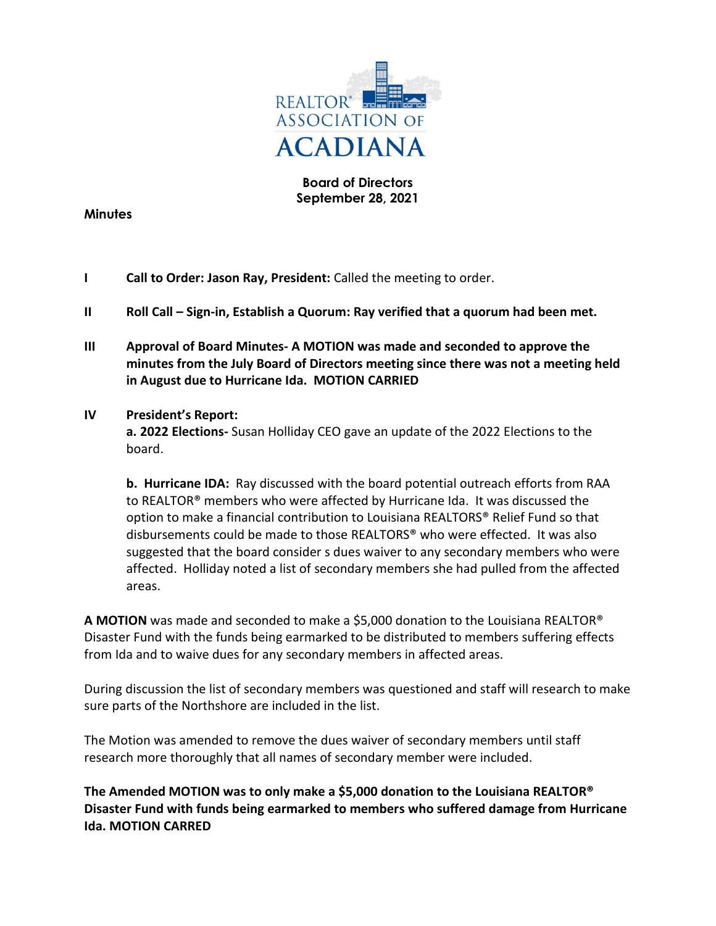

## **Board of Directors September 28, 2021**

#### **Minutes**

- **I Call to Order: Jason Ray, President:** Called the meeting to order.
- **II Roll Call – Sign-in, Establish a Quorum: Ray verified that a quorum had been met.**
- **III Approval of Board Minutes- A MOTION was made and seconded to approve the minutes from the July Board of Directors meeting since there was not a meeting held in August due to Hurricane Ida. MOTION CARRIED**

#### **IV President's Report:**

**a. 2022 Elections-** Susan Holliday CEO gave an update of the 2022 Elections to the board.

**b. Hurricane IDA:** Ray discussed with the board potential outreach efforts from RAA to REALTOR® members who were affected by Hurricane Ida. It was discussed the option to make a financial contribution to Louisiana REALTORS® Relief Fund so that disbursements could be made to those REALTORS® who were effected. It was also suggested that the board consider s dues waiver to any secondary members who were affected. Holliday noted a list of secondary members she had pulled from the affected areas.

**A MOTION** was made and seconded to make a \$5,000 donation to the Louisiana REALTOR® Disaster Fund with the funds being earmarked to be distributed to members suffering effects from Ida and to waive dues for any secondary members in affected areas.

During discussion the list of secondary members was questioned and staff will research to make sure parts of the Northshore are included in the list.

The Motion was amended to remove the dues waiver of secondary members until staff research more thoroughly that all names of secondary member were included.

**The Amended MOTION was to only make a \$5,000 donation to the Louisiana REALTOR® Disaster Fund with funds being earmarked to members who suffered damage from Hurricane Ida. MOTION CARRED**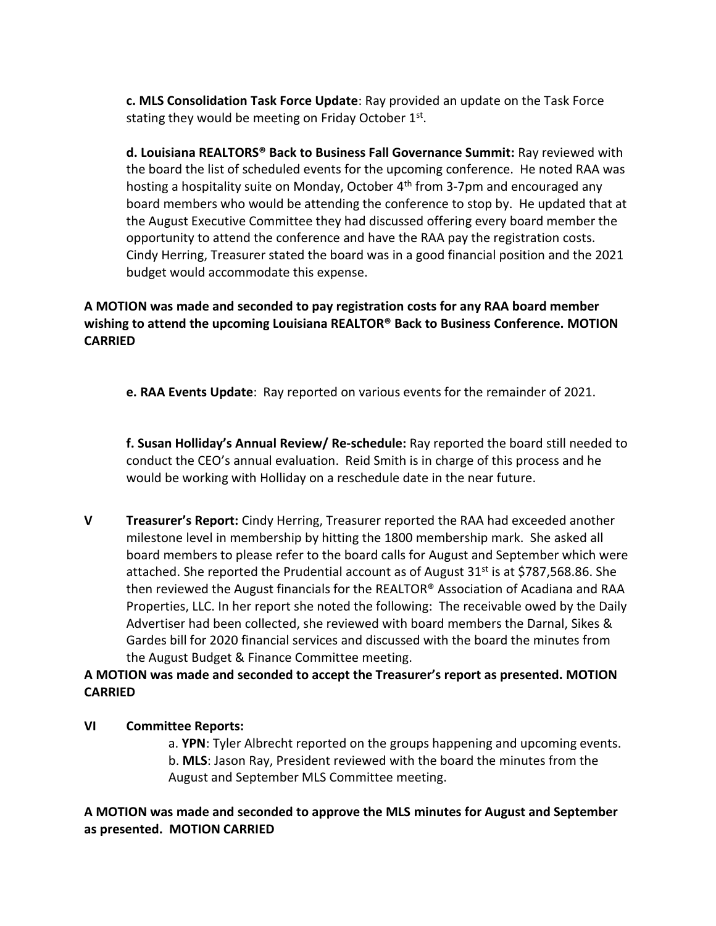**c. MLS Consolidation Task Force Update**: Ray provided an update on the Task Force stating they would be meeting on Friday October 1st.

**d. Louisiana REALTORS® Back to Business Fall Governance Summit:** Ray reviewed with the board the list of scheduled events for the upcoming conference. He noted RAA was hosting a hospitality suite on Monday, October 4<sup>th</sup> from 3-7pm and encouraged any board members who would be attending the conference to stop by. He updated that at the August Executive Committee they had discussed offering every board member the opportunity to attend the conference and have the RAA pay the registration costs. Cindy Herring, Treasurer stated the board was in a good financial position and the 2021 budget would accommodate this expense.

# **A MOTION was made and seconded to pay registration costs for any RAA board member wishing to attend the upcoming Louisiana REALTOR® Back to Business Conference. MOTION CARRIED**

**e. RAA Events Update**: Ray reported on various events for the remainder of 2021.

**f. Susan Holliday's Annual Review/ Re-schedule:** Ray reported the board still needed to conduct the CEO's annual evaluation. Reid Smith is in charge of this process and he would be working with Holliday on a reschedule date in the near future.

**V Treasurer's Report:** Cindy Herring, Treasurer reported the RAA had exceeded another milestone level in membership by hitting the 1800 membership mark. She asked all board members to please refer to the board calls for August and September which were attached. She reported the Prudential account as of August  $31^{st}$  is at \$787,568.86. She then reviewed the August financials for the REALTOR® Association of Acadiana and RAA Properties, LLC. In her report she noted the following: The receivable owed by the Daily Advertiser had been collected, she reviewed with board members the Darnal, Sikes & Gardes bill for 2020 financial services and discussed with the board the minutes from the August Budget & Finance Committee meeting.

# **A MOTION was made and seconded to accept the Treasurer's report as presented. MOTION CARRIED**

## **VI Committee Reports:**

a. **YPN**: Tyler Albrecht reported on the groups happening and upcoming events. b. **MLS**: Jason Ray, President reviewed with the board the minutes from the August and September MLS Committee meeting.

## **A MOTION was made and seconded to approve the MLS minutes for August and September as presented. MOTION CARRIED**